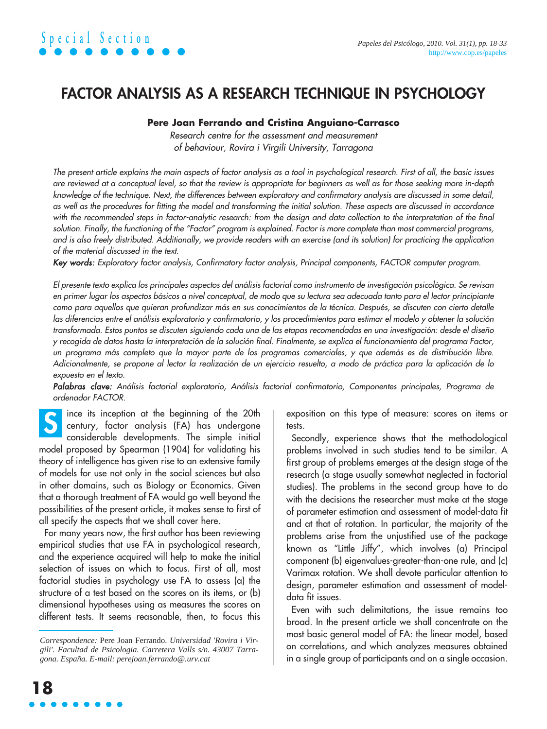## **FACTOR ANALYSIS AS A RESEARCH TECHNIQUE IN PSYCHOLOGY**

## **Pere Joan Ferrando and Cristina Anguiano-Carrasco**

Research centre for the assessment and measurement of behaviour, Rovira i Virgili University, Tarragona

The present article explains the main aspects of factor analysis as a tool in psychological research. First of all, the basic issues are reviewed at a conceptual level, so that the review is appropriate for beginners as well as for those seeking more in-depth knowledge of the technique. Next, the differences between exploratory and confirmatory analysis are discussed in some detail, as well as the procedures for fitting the model and transforming the initial solution. These aspects are discussed in accordance with the recommended steps in factor-analytic research: from the design and data collection to the interpretation of the final solution. Finally, the functioning of the "Factor" program is explained. Factor is more complete than most commercial programs, and is also freely distributed. Additionally, we provide readers with an exercise (and its solution) for practicing the application of the material discussed in the text.

Key words: Exploratory factor analysis, Confirmatory factor analysis, Principal components, FACTOR computer program.

El presente texto explica los principales aspectos del análisis factorial como instrumento de investigación psicológica. Se revisan en primer lugar los aspectos básicos a nivel conceptual, de modo que su lectura sea adecuada tanto para el lector principiante como para aquellos que quieran profundizar más en sus conocimientos de la técnica. Después, se discuten con cierto detalle las diferencias entre el análisis exploratorio y confirmatorio, y los procedimientos para estimar el modelo y obtener la solución transformada. Estos puntos se discuten siguiendo cada una de las etapas recomendadas en una investigación: desde el diseño y recogida de datos hasta la interpretación de la solución final. Finalmente, se explica el funcionamiento del programa Factor, un programa más completo que la mayor parte de los programas comerciales, y que además es de distribución libre. Adicionalmente, se propone al lector la realización de un ejercicio resuelto, a modo de práctica para la aplicación de lo expuesto en el texto.

Palabras clave: Análisis factorial exploratorio, Análisis factorial confirmatorio, Componentes principales, Programa de ordenador FACTOR.

ince its inception at the beginning of the 20th century, factor analysis (FA) has undergone considerable developments. The simple initial model proposed by Spearman (1904) for validating his theory of intelligence has given rise to an extensive family of models for use not only in the social sciences but also in other domains, such as Biology or Economics. Given that a thorough treatment of FA would go well beyond the possibilities of the present article, it makes sense to first of all specify the aspects that we shall cover here. **S**

For many years now, the first author has been reviewing empirical studies that use FA in psychological research, and the experience acquired will help to make the initial selection of issues on which to focus. First of all, most factorial studies in psychology use FA to assess (a) the structure of a test based on the scores on its items, or (b) dimensional hypotheses using as measures the scores on different tests. It seems reasonable, then, to focus this exposition on this type of measure: scores on items or tests.

Secondly, experience shows that the methodological problems involved in such studies tend to be similar. A first group of problems emerges at the design stage of the research (a stage usually somewhat neglected in factorial studies). The problems in the second group have to do with the decisions the researcher must make at the stage of parameter estimation and assessment of model-data fit and at that of rotation. In particular, the majority of the problems arise from the unjustified use of the package known as "Little Jiffy", which involves (a) Principal component (b) eigenvalues-greater-than-one rule, and (c) Varimax rotation. We shall devote particular attention to design, parameter estimation and assessment of modeldata fit issues.

Even with such delimitations, the issue remains too broad. In the present article we shall concentrate on the most basic general model of FA: the linear model, based on correlations, and which analyzes measures obtained in a single group of participants and on a single occasion.

*Correspondence:* Pere Joan Ferrando. *Universidad 'Rovira i Virgili'. Facultad de Psicologia. Carretera Valls s/n. 43007 Tarragona. España. E-mail: perejoan.ferrando@.urv.cat*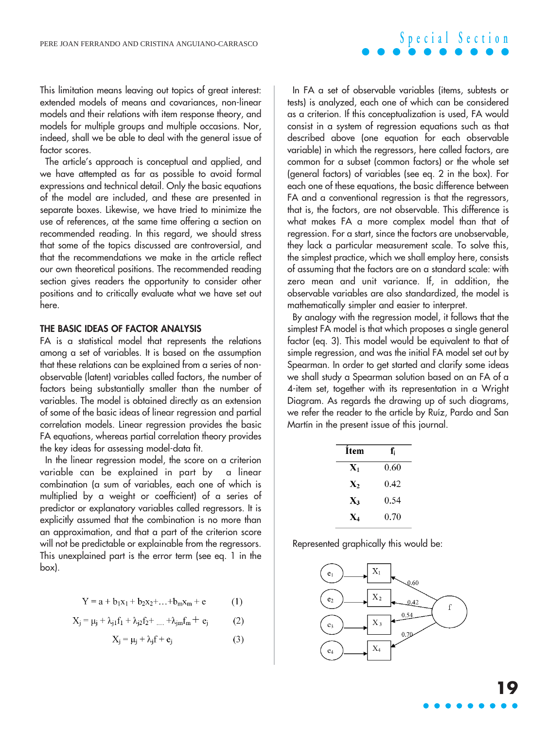This limitation means leaving out topics of great interest: extended models of means and covariances, non-linear models and their relations with item response theory, and models for multiple groups and multiple occasions. Nor, indeed, shall we be able to deal with the general issue of factor scores.

The article's approach is conceptual and applied, and we have attempted as far as possible to avoid formal expressions and technical detail. Only the basic equations of the model are included, and these are presented in separate boxes. Likewise, we have tried to minimize the use of references, at the same time offering a section on recommended reading. In this regard, we should stress that some of the topics discussed are controversial, and that the recommendations we make in the article reflect our own theoretical positions. The recommended reading section gives readers the opportunity to consider other positions and to critically evaluate what we have set out here.

### **THE BASIC IDEAS OF FACTOR ANALYSIS**

FA is a statistical model that represents the relations among a set of variables. It is based on the assumption that these relations can be explained from a series of nonobservable (latent) variables called factors, the number of factors being substantially smaller than the number of variables. The model is obtained directly as an extension of some of the basic ideas of linear regression and partial correlation models. Linear regression provides the basic FA equations, whereas partial correlation theory provides the key ideas for assessing model-data fit.

In the linear regression model, the score on a criterion variable can be explained in part by a linear combination (a sum of variables, each one of which is multiplied by a weight or coefficient) of a series of predictor or explanatory variables called regressors. It is explicitly assumed that the combination is no more than an approximation, and that a part of the criterion score will not be predictable or explainable from the regressors. This unexplained part is the error term (see eq. 1 in the box).

$$
Y = a + b_1x_1 + b_2x_2 + \dots + b_mx_m + e \tag{1}
$$

$$
X_{j} = \mu_{j} + \lambda_{j1}f_{1} + \lambda_{j2}f_{2} + \dots + \lambda_{jm}f_{m} + e_{j}
$$
 (2)

$$
X_j = \mu_j + \lambda_j f + e_j \tag{3}
$$

In FA a set of observable variables (items, subtests or tests) is analyzed, each one of which can be considered as a criterion. If this conceptualization is used, FA would consist in a system of regression equations such as that described above (one equation for each observable variable) in which the regressors, here called factors, are common for a subset (common factors) or the whole set (general factors) of variables (see eq. 2 in the box). For each one of these equations, the basic difference between FA and a conventional regression is that the regressors, that is, the factors, are not observable. This difference is what makes FA a more complex model than that of regression. For a start, since the factors are unobservable, they lack a particular measurement scale. To solve this, the simplest practice, which we shall employ here, consists of assuming that the factors are on a standard scale: with zero mean and unit variance. If, in addition, the observable variables are also standardized, the model is mathematically simpler and easier to interpret.

By analogy with the regression model, it follows that the simplest FA model is that which proposes a single general factor (eq. 3). This model would be equivalent to that of simple regression, and was the initial FA model set out by Spearman. In order to get started and clarify some ideas we shall study a Spearman solution based on an FA of a 4-item set, together with its representation in a Wright Diagram. As regards the drawing up of such diagrams, we refer the reader to the article by Ruíz, Pardo and San Martín in the present issue of this journal.

| Ítem           | f.   |
|----------------|------|
| $\mathbf{X}_1$ | 0.60 |
| $\mathbf{X}_2$ | 0.42 |
| $\mathbf{X}_3$ | 0.54 |
| X4             | 0.70 |

Represented graphically this would be:

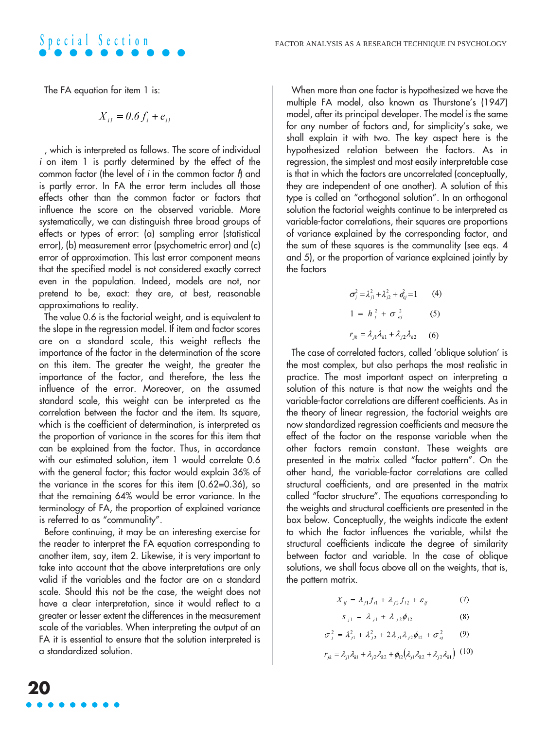The FA equation for item 1 is:

**Special Section**

$$
X_{iI} = 0.6 f_i + e_{iI}
$$

, which is interpreted as follows. The score of individual i on item 1 is partly determined by the effect of the common factor (the level of  $i$  in the common factor  $f_1$  and is partly error. In FA the error term includes all those effects other than the common factor or factors that influence the score on the observed variable. More systematically, we can distinguish three broad groups of effects or types of error: (a) sampling error (statistical error), (b) measurement error (psychometric error) and (c) error of approximation. This last error component means that the specified model is not considered exactly correct even in the population. Indeed, models are not, nor pretend to be, exact: they are, at best, reasonable approximations to reality.

The value 0.6 is the factorial weight, and is equivalent to the slope in the regression model. If item and factor scores are on a standard scale, this weight reflects the importance of the factor in the determination of the score on this item. The greater the weight, the greater the importance of the factor, and therefore, the less the influence of the error. Moreover, on the assumed standard scale, this weight can be interpreted as the correlation between the factor and the item. Its square, which is the coefficient of determination, is interpreted as the proportion of variance in the scores for this item that can be explained from the factor. Thus, in accordance with our estimated solution, item 1 would correlate 0.6 with the general factor; this factor would explain 36% of the variance in the scores for this item (0.62=0.36), so that the remaining 64% would be error variance. In the terminology of FA, the proportion of explained variance is referred to as "communality".

Before continuing, it may be an interesting exercise for the reader to interpret the FA equation corresponding to another item, say, item 2. Likewise, it is very important to take into account that the above interpretations are only valid if the variables and the factor are on a standard scale. Should this not be the case, the weight does not have a clear interpretation, since it would reflect to a greater or lesser extent the differences in the measurement scale of the variables. When interpreting the output of an FA it is essential to ensure that the solution interpreted is a standardized solution.

When more than one factor is hypothesized we have the multiple FA model, also known as Thurstone's (1947) model, after its principal developer. The model is the same for any number of factors and, for simplicity's sake, we shall explain it with two. The key aspect here is the hypothesized relation between the factors. As in regression, the simplest and most easily interpretable case is that in which the factors are uncorrelated (conceptually, they are independent of one another). A solution of this type is called an "orthogonal solution". In an orthogonal solution the factorial weights continue to be interpreted as variable-factor correlations, their squares are proportions of variance explained by the corresponding factor, and the sum of these squares is the communality (see eqs. 4 and 5), or the proportion of variance explained jointly by the factors

$$
\sigma_j^2 = \lambda_{j1}^2 + \lambda_{j2}^2 + \sigma_{ej}^2 = 1
$$
 (4)  
1 =  $h_j^2 + \sigma_{ej}^2$  (5)  
 $r_k = \lambda_{j1}\lambda_{k1} + \lambda_{j2}\lambda_{k2}$  (6)

The case of correlated factors, called 'oblique solution' is the most complex, but also perhaps the most realistic in practice. The most important aspect on interpreting a solution of this nature is that now the weights and the variable-factor correlations are different coefficients. As in the theory of linear regression, the factorial weights are now standardized regression coefficients and measure the effect of the factor on the response variable when the other factors remain constant. These weights are presented in the matrix called "factor pattern". On the other hand, the variable-factor correlations are called structural coefficients, and are presented in the matrix called "factor structure". The equations corresponding to the weights and structural coefficients are presented in the box below. Conceptually, the weights indicate the extent to which the factor influences the variable, whilst the structural coefficients indicate the degree of similarity between factor and variable. In the case of oblique solutions, we shall focus above all on the weights, that is, the pattern matrix.

$$
X_{ij} = \lambda_{j1} f_{i1} + \lambda_{j2} f_{i2} + \varepsilon_{ij} \tag{7}
$$

$$
s_{j1} = \lambda_{j1} + \lambda_{j2} \phi_{12} \tag{8}
$$

$$
\sigma_j^2 = \lambda_{j1}^2 + \lambda_{j2}^2 + 2\lambda_{j1}\lambda_{j2}\phi_{12} + \sigma_{ij}^2 \qquad (9)
$$

$$
r_{jk} = \lambda_{j1}\lambda_{k1} + \lambda_{j2}\lambda_{k2} + \phi_{12}(\lambda_{j1}\lambda_{k2} + \lambda_{j2}\lambda_{k1})
$$
 (10)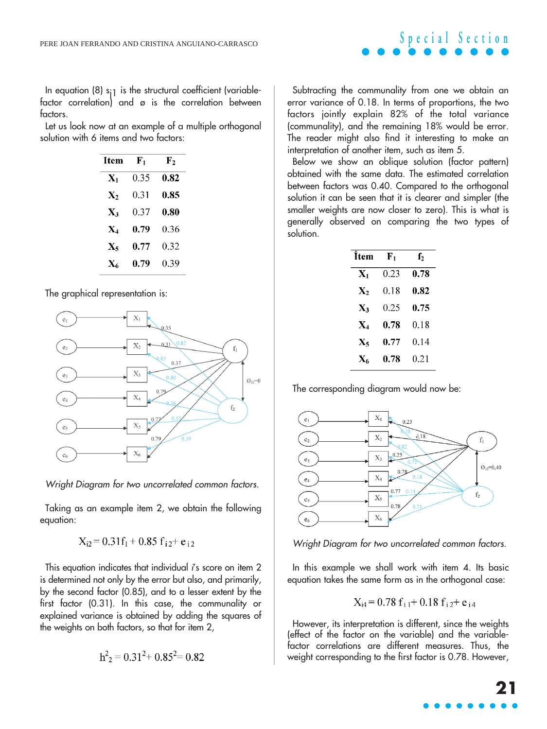In equation (8)  $s_{i1}$  is the structural coefficient (variablefactor correlation) and ø is the correlation between factors.

Let us look now at an example of a multiple orthogonal solution with 6 items and two factors:

| Item           | ${\bf F_1}$ | ${\bf F_2}$ |  |  |
|----------------|-------------|-------------|--|--|
| $\mathbf{X}_1$ | 0.35        | 0.82        |  |  |
| $\mathbf{X}_2$ | 0.31        | 0.85        |  |  |
| $\mathbf{X}_3$ | 0.37        | 0.80        |  |  |
| $\mathbf{X}_4$ | 0.79        | 0.36        |  |  |
| X5             | 0.77        | 0.32        |  |  |
| X6             | 0.79        | 0.39        |  |  |

#### The graphical representation is:



Wright Diagram for two uncorrelated common factors.

Taking as an example item 2, we obtain the following equation:

$$
X_{i2} = 0.31f_1 + 0.85 f_{i2} + e_{i2}
$$

This equation indicates that individual i's score on item 2 is determined not only by the error but also, and primarily, by the second factor (0.85), and to a lesser extent by the first factor (0.31). In this case, the communality or explained variance is obtained by adding the squares of the weights on both factors, so that for item 2,

$$
h^2
$$
<sub>2</sub> = 0.31<sup>2</sup>+ 0.85<sup>2</sup>= 0.82

Subtracting the communality from one we obtain an error variance of 0.18. In terms of proportions, the two factors jointly explain 82% of the total variance (communality), and the remaining 18% would be error. The reader might also find it interesting to make an interpretation of another item, such as item 5.

**Special Section**

Below we show an oblique solution (factor pattern) obtained with the same data. The estimated correlation between factors was 0.40. Compared to the orthogonal solution it can be seen that it is clearer and simpler (the smaller weights are now closer to zero). This is what is generally observed on comparing the two types of solution.

| <b>Item</b>    | F,   | ${\bf f}_2$ |  |  |
|----------------|------|-------------|--|--|
| $\mathbf{X}_1$ | 0.23 | 0.78        |  |  |
| $\mathbf{X}_2$ | 0.18 | 0.82        |  |  |
| X3             | 0.25 | 0.75        |  |  |
| $\mathbf{X}_4$ | 0.78 | 0.18        |  |  |
| X,             | 0.77 | 0.14        |  |  |
| X.             | 0.78 | 0.21        |  |  |

The corresponding diagram would now be:



Wright Diagram for two uncorrelated common factors.

In this example we shall work with item 4. Its basic equation takes the same form as in the orthogonal case:

$$
X_{i4} = 0.78 f_{i1} + 0.18 f_{i2} + e_{i4}
$$

However, its interpretation is different, since the weights (effect of the factor on the variable) and the variablefactor correlations are different measures. Thus, the weight corresponding to the first factor is 0.78. However,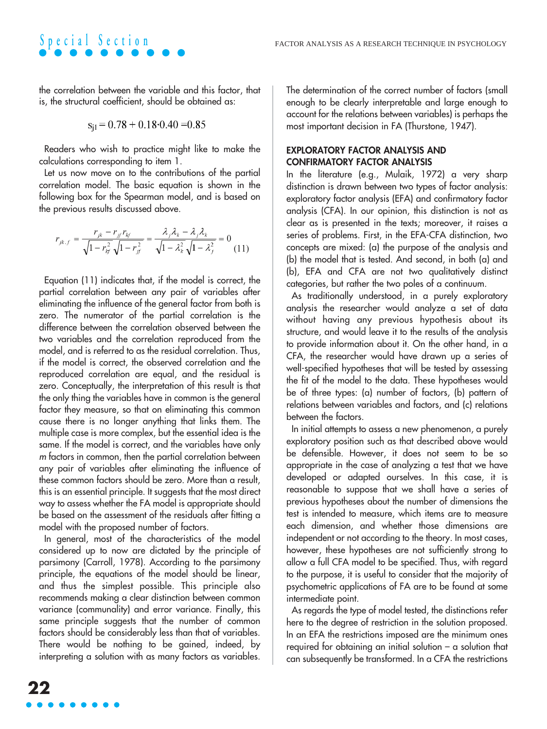the correlation between the variable and this factor, that is, the structural coefficient, should be obtained as:

**Special Section**

$$
s_{j1} = 0.78 + 0.18 \cdot 0.40 = 0.85
$$

Readers who wish to practice might like to make the calculations corresponding to item 1.

Let us now move on to the contributions of the partial correlation model. The basic equation is shown in the following box for the Spearman model, and is based on the previous results discussed above.

$$
r_{jk.f} = \frac{r_{jk} - r_{jj}r_{kj}}{\sqrt{1 - r_{kj}^2} \sqrt{1 - r_{jj}^2}} = \frac{\lambda_j \lambda_k - \lambda_j \lambda_k}{\sqrt{1 - \lambda_k^2} \sqrt{1 - \lambda_j^2}} = 0
$$
(11)

Equation (11) indicates that, if the model is correct, the partial correlation between any pair of variables after eliminating the influence of the general factor from both is zero. The numerator of the partial correlation is the difference between the correlation observed between the two variables and the correlation reproduced from the model, and is referred to as the residual correlation. Thus, if the model is correct, the observed correlation and the reproduced correlation are equal, and the residual is zero. Conceptually, the interpretation of this result is that the only thing the variables have in common is the general factor they measure, so that on eliminating this common cause there is no longer anything that links them. The multiple case is more complex, but the essential idea is the same. If the model is correct, and the variables have only <sup>m</sup> factors in common, then the partial correlation between any pair of variables after eliminating the influence of these common factors should be zero. More than a result, this is an essential principle. It suggests that the most direct way to assess whether the FA model is appropriate should be based on the assessment of the residuals after fitting a model with the proposed number of factors.

In general, most of the characteristics of the model considered up to now are dictated by the principle of parsimony (Carroll, 1978). According to the parsimony principle, the equations of the model should be linear, and thus the simplest possible. This principle also recommends making a clear distinction between common variance (communality) and error variance. Finally, this same principle suggests that the number of common factors should be considerably less than that of variables. There would be nothing to be gained, indeed, by interpreting a solution with as many factors as variables.

The determination of the correct number of factors (small enough to be clearly interpretable and large enough to account for the relations between variables) is perhaps the most important decision in FA (Thurstone, 1947).

## **EXPLORATORY FACTOR ANALYSIS AND CONFIRMATORY FACTOR ANALYSIS**

In the literature (e.g., Mulaik, 1972) a very sharp distinction is drawn between two types of factor analysis: exploratory factor analysis (EFA) and confirmatory factor analysis (CFA). In our opinion, this distinction is not as clear as is presented in the texts; moreover, it raises a series of problems. First, in the EFA-CFA distinction, two concepts are mixed: (a) the purpose of the analysis and (b) the model that is tested. And second, in both (a) and (b), EFA and CFA are not two qualitatively distinct categories, but rather the two poles of a continuum.

As traditionally understood, in a purely exploratory analysis the researcher would analyze a set of data without having any previous hypothesis about its structure, and would leave it to the results of the analysis to provide information about it. On the other hand, in a CFA, the researcher would have drawn up a series of well-specified hypotheses that will be tested by assessing the fit of the model to the data. These hypotheses would be of three types: (a) number of factors, (b) pattern of relations between variables and factors, and (c) relations between the factors.

In initial attempts to assess a new phenomenon, a purely exploratory position such as that described above would be defensible. However, it does not seem to be so appropriate in the case of analyzing a test that we have developed or adapted ourselves. In this case, it is reasonable to suppose that we shall have a series of previous hypotheses about the number of dimensions the test is intended to measure, which items are to measure each dimension, and whether those dimensions are independent or not according to the theory. In most cases, however, these hypotheses are not sufficiently strong to allow a full CFA model to be specified. Thus, with regard to the purpose, it is useful to consider that the majority of psychometric applications of FA are to be found at some intermediate point.

As regards the type of model tested, the distinctions refer here to the degree of restriction in the solution proposed. In an EFA the restrictions imposed are the minimum ones required for obtaining an initial solution – a solution that can subsequently be transformed. In a CFA the restrictions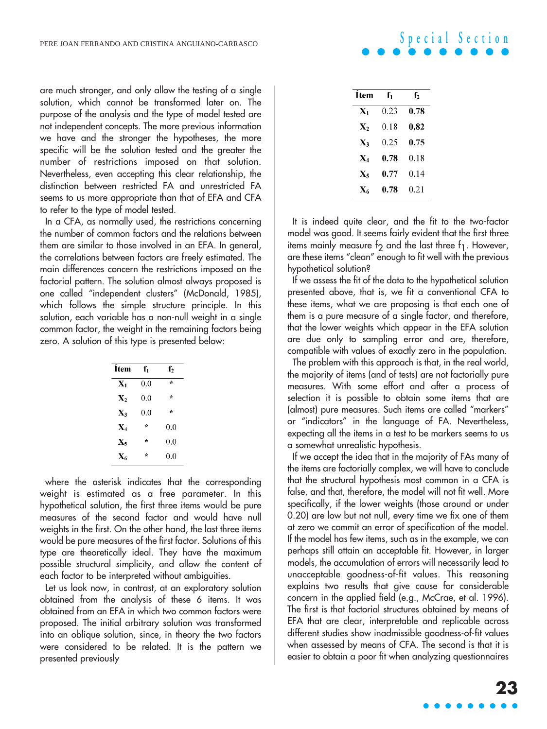are much stronger, and only allow the testing of a single solution, which cannot be transformed later on. The purpose of the analysis and the type of model tested are not independent concepts. The more previous information we have and the stronger the hypotheses, the more specific will be the solution tested and the greater the number of restrictions imposed on that solution. Nevertheless, even accepting this clear relationship, the distinction between restricted FA and unrestricted FA seems to us more appropriate than that of EFA and CFA to refer to the type of model tested.

In a CFA, as normally used, the restrictions concerning the number of common factors and the relations between them are similar to those involved in an EFA. In general, the correlations between factors are freely estimated. The main differences concern the restrictions imposed on the factorial pattern. The solution almost always proposed is one called "independent clusters" (McDonald, 1985), which follows the simple structure principle. In this solution, each variable has a non-null weight in a single common factor, the weight in the remaining factors being zero. A solution of this type is presented below:

| İtem             | f,      | f <sub>2</sub> |  |  |
|------------------|---------|----------------|--|--|
| $\mathbf{X}_1$   | 0.0     | $\star$        |  |  |
| $\mathbf{X}_2$   | 0.0     | $\star$        |  |  |
| $X_3$            | 0.0     | $\star$        |  |  |
| $X_4$            | $\star$ | 0.0            |  |  |
| $\mathbf{X}_5$   | $\star$ | 0.0            |  |  |
| $\mathbf{X}_{6}$ | ÷       | 0.0            |  |  |

where the asterisk indicates that the corresponding weight is estimated as a free parameter. In this hypothetical solution, the first three items would be pure measures of the second factor and would have null weights in the first. On the other hand, the last three items would be pure measures of the first factor. Solutions of this type are theoretically ideal. They have the maximum possible structural simplicity, and allow the content of each factor to be interpreted without ambiguities.

Let us look now, in contrast, at an exploratory solution obtained from the analysis of these 6 items. It was obtained from an EFA in which two common factors were proposed. The initial arbitrary solution was transformed into an oblique solution, since, in theory the two factors were considered to be related. It is the pattern we presented previously

| f,   | f,   |
|------|------|
| 0.23 | 0.78 |
| 0.18 | 0.82 |
| 0.25 | 0.75 |
| 0.78 | 0.18 |
| 0.77 | 0.14 |
| 0.78 | 0.21 |
|      |      |

**Special Section**

It is indeed quite clear, and the fit to the two-factor model was good. It seems fairly evident that the first three items mainly measure f<sub>2</sub> and the last three  $f_1$ . However, are these items "clean" enough to fit well with the previous hypothetical solution?

If we assess the fit of the data to the hypothetical solution presented above, that is, we fit a conventional CFA to these items, what we are proposing is that each one of them is a pure measure of a single factor, and therefore, that the lower weights which appear in the EFA solution are due only to sampling error and are, therefore, compatible with values of exactly zero in the population.

The problem with this approach is that, in the real world, the majority of items (and of tests) are not factorially pure measures. With some effort and after a process of selection it is possible to obtain some items that are (almost) pure measures. Such items are called "markers" or "indicators" in the language of FA. Nevertheless, expecting all the items in a test to be markers seems to us a somewhat unrealistic hypothesis.

If we accept the idea that in the majority of FAs many of the items are factorially complex, we will have to conclude that the structural hypothesis most common in a CFA is false, and that, therefore, the model will not fit well. More specifically, if the lower weights (those around or under 0.20) are low but not null, every time we fix one of them at zero we commit an error of specification of the model. If the model has few items, such as in the example, we can perhaps still attain an acceptable fit. However, in larger models, the accumulation of errors will necessarily lead to unacceptable goodness-of-fit values. This reasoning explains two results that give cause for considerable concern in the applied field (e.g., McCrae, et al. 1996). The first is that factorial structures obtained by means of EFA that are clear, interpretable and replicable across different studies show inadmissible goodness-of-fit values when assessed by means of CFA. The second is that it is easier to obtain a poor fit when analyzing questionnaires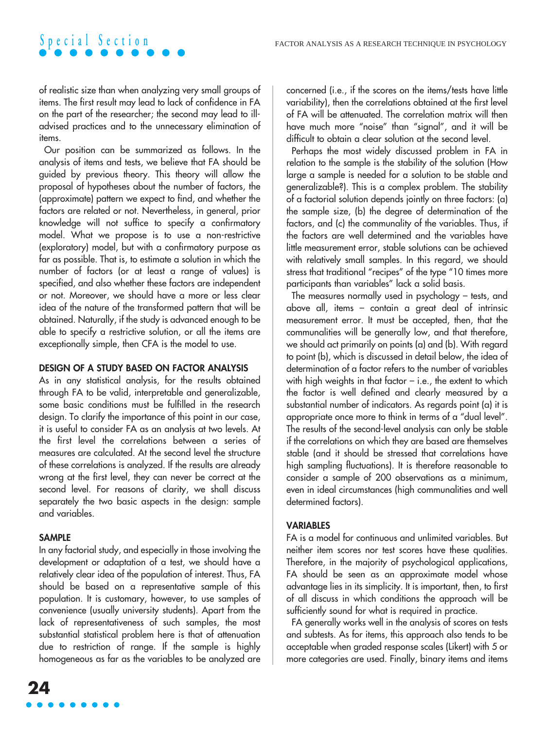of realistic size than when analyzing very small groups of items. The first result may lead to lack of confidence in FA on the part of the researcher; the second may lead to illadvised practices and to the unnecessary elimination of items.

**Special Section**

Our position can be summarized as follows. In the analysis of items and tests, we believe that FA should be guided by previous theory. This theory will allow the proposal of hypotheses about the number of factors, the (approximate) pattern we expect to find, and whether the factors are related or not. Nevertheless, in general, prior knowledge will not suffice to specify a confirmatory model. What we propose is to use a non-restrictive (exploratory) model, but with a confirmatory purpose as far as possible. That is, to estimate a solution in which the number of factors (or at least a range of values) is specified, and also whether these factors are independent or not. Moreover, we should have a more or less clear idea of the nature of the transformed pattern that will be obtained. Naturally, if the study is advanced enough to be able to specify a restrictive solution, or all the items are exceptionally simple, then CFA is the model to use.

#### **DESIGN OF A STUDY BASED ON FACTOR ANALYSIS**

As in any statistical analysis, for the results obtained through FA to be valid, interpretable and generalizable, some basic conditions must be fulfilled in the research design. To clarify the importance of this point in our case, it is useful to consider FA as an analysis at two levels. At the first level the correlations between a series of measures are calculated. At the second level the structure of these correlations is analyzed. If the results are already wrong at the first level, they can never be correct at the second level. For reasons of clarity, we shall discuss separately the two basic aspects in the design: sample and variables.

### **SAMPLE**

In any factorial study, and especially in those involving the development or adaptation of a test, we should have a relatively clear idea of the population of interest. Thus, FA should be based on a representative sample of this population. It is customary, however, to use samples of convenience (usually university students). Apart from the lack of representativeness of such samples, the most substantial statistical problem here is that of attenuation due to restriction of range. If the sample is highly homogeneous as far as the variables to be analyzed are concerned (i.e., if the scores on the items/tests have little variability), then the correlations obtained at the first level of FA will be attenuated. The correlation matrix will then have much more "noise" than "signal", and it will be difficult to obtain a clear solution at the second level.

Perhaps the most widely discussed problem in FA in relation to the sample is the stability of the solution (How large a sample is needed for a solution to be stable and generalizable?). This is a complex problem. The stability of a factorial solution depends jointly on three factors: (a) the sample size, (b) the degree of determination of the factors, and (c) the communality of the variables. Thus, if the factors are well determined and the variables have little measurement error, stable solutions can be achieved with relatively small samples. In this regard, we should stress that traditional "recipes" of the type "10 times more participants than variables" lack a solid basis.

The measures normally used in psychology – tests, and above all, items – contain a great deal of intrinsic measurement error. It must be accepted, then, that the communalities will be generally low, and that therefore, we should act primarily on points (a) and (b). With regard to point (b), which is discussed in detail below, the idea of determination of a factor refers to the number of variables with high weights in that factor – i.e., the extent to which the factor is well defined and clearly measured by a substantial number of indicators. As regards point (a) it is appropriate once more to think in terms of a "dual level". The results of the second-level analysis can only be stable if the correlations on which they are based are themselves stable (and it should be stressed that correlations have high sampling fluctuations). It is therefore reasonable to consider a sample of 200 observations as a minimum, even in ideal circumstances (high communalities and well determined factors).

#### **VARIABLES**

FA is a model for continuous and unlimited variables. But neither item scores nor test scores have these qualities. Therefore, in the majority of psychological applications, FA should be seen as an approximate model whose advantage lies in its simplicity. It is important, then, to first of all discuss in which conditions the approach will be sufficiently sound for what is required in practice.

FA generally works well in the analysis of scores on tests and subtests. As for items, this approach also tends to be acceptable when graded response scales (Likert) with 5 or more categories are used. Finally, binary items and items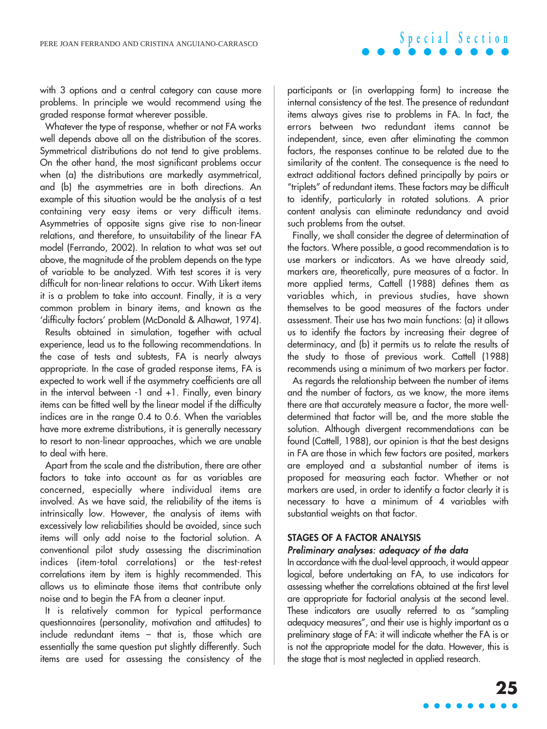with 3 options and a central category can cause more problems. In principle we would recommend using the graded response format wherever possible.

Whatever the type of response, whether or not FA works well depends above all on the distribution of the scores. Symmetrical distributions do not tend to give problems. On the other hand, the most significant problems occur when (a) the distributions are markedly asymmetrical, and (b) the asymmetries are in both directions. An example of this situation would be the analysis of a test containing very easy items or very difficult items. Asymmetries of opposite signs give rise to non-linear relations, and therefore, to unsuitability of the linear FA model (Ferrando, 2002). In relation to what was set out above, the magnitude of the problem depends on the type of variable to be analyzed. With test scores it is very difficult for non-linear relations to occur. With Likert items it is a problem to take into account. Finally, it is a very common problem in binary items, and known as the 'difficulty factors' problem (McDonald & Alhawat, 1974).

Results obtained in simulation, together with actual experience, lead us to the following recommendations. In the case of tests and subtests, FA is nearly always appropriate. In the case of graded response items, FA is expected to work well if the asymmetry coefficients are all in the interval between -1 and +1. Finally, even binary items can be fitted well by the linear model if the difficulty indices are in the range 0.4 to 0.6. When the variables have more extreme distributions, it is generally necessary to resort to non-linear approaches, which we are unable to deal with here.

Apart from the scale and the distribution, there are other factors to take into account as far as variables are concerned, especially where individual items are involved. As we have said, the reliability of the items is intrinsically low. However, the analysis of items with excessively low reliabilities should be avoided, since such items will only add noise to the factorial solution. A conventional pilot study assessing the discrimination indices (item-total correlations) or the test-retest correlations item by item is highly recommended. This allows us to eliminate those items that contribute only noise and to begin the FA from a cleaner input.

It is relatively common for typical performance questionnaires (personality, motivation and attitudes) to include redundant items – that is, those which are essentially the same question put slightly differently. Such items are used for assessing the consistency of the

participants or (in overlapping form) to increase the internal consistency of the test. The presence of redundant items always gives rise to problems in FA. In fact, the errors between two redundant items cannot be independent, since, even after eliminating the common factors, the responses continue to be related due to the similarity of the content. The consequence is the need to extract additional factors defined principally by pairs or "triplets" of redundant items. These factors may be difficult to identify, particularly in rotated solutions. A prior content analysis can eliminate redundancy and avoid such problems from the outset.

Finally, we shall consider the degree of determination of the factors. Where possible, a good recommendation is to use markers or indicators. As we have already said, markers are, theoretically, pure measures of a factor. In more applied terms, Cattell (1988) defines them as variables which, in previous studies, have shown themselves to be good measures of the factors under assessment. Their use has two main functions: (a) it allows us to identify the factors by increasing their degree of determinacy, and (b) it permits us to relate the results of the study to those of previous work. Cattell (1988) recommends using a minimum of two markers per factor.

As regards the relationship between the number of items and the number of factors, as we know, the more items there are that accurately measure a factor, the more welldetermined that factor will be, and the more stable the solution. Although divergent recommendations can be found (Cattell, 1988), our opinion is that the best designs in FA are those in which few factors are posited, markers are employed and a substantial number of items is proposed for measuring each factor. Whether or not markers are used, in order to identify a factor clearly it is necessary to have a minimum of 4 variables with substantial weights on that factor.

## **STAGES OF A FACTOR ANALYSIS**

## Preliminary analyses: adequacy of the data

In accordance with the dual-level approach, it would appear logical, before undertaking an FA, to use indicators for assessing whether the correlations obtained at the first level are appropriate for factorial analysis at the second level. These indicators are usually referred to as "sampling adequacy measures", and their use is highly important as a preliminary stage of FA: it will indicate whether the FA is or is not the appropriate model for the data. However, this is the stage that is most neglected in applied research.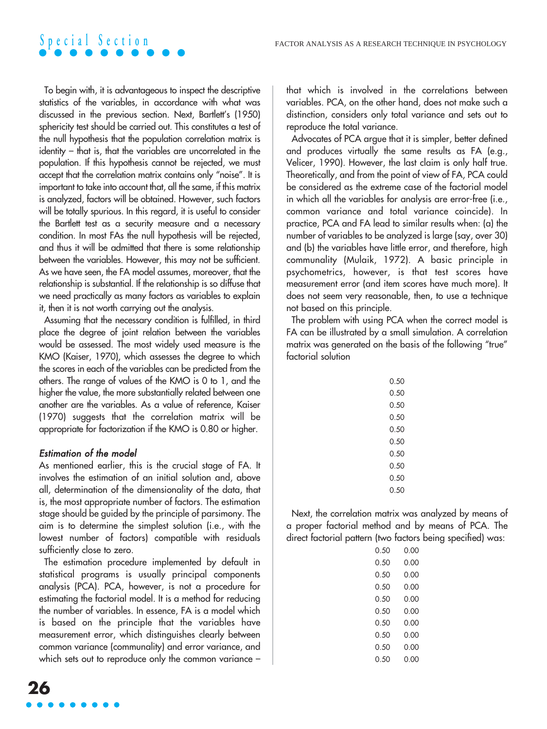To begin with, it is advantageous to inspect the descriptive statistics of the variables, in accordance with what was discussed in the previous section. Next, Bartlett's (1950) sphericity test should be carried out. This constitutes a test of the null hypothesis that the population correlation matrix is identity – that is, that the variables are uncorrelated in the population. If this hypothesis cannot be rejected, we must accept that the correlation matrix contains only "noise". It is important to take into account that, all the same, if this matrix is analyzed, factors will be obtained. However, such factors will be totally spurious. In this regard, it is useful to consider the Bartlett test as a security measure and a necessary condition. In most FAs the null hypothesis will be rejected, and thus it will be admitted that there is some relationship between the variables. However, this may not be sufficient. As we have seen, the FA model assumes, moreover, that the relationship is substantial. If the relationship is so diffuse that we need practically as many factors as variables to explain it, then it is not worth carrying out the analysis.

Assuming that the necessary condition is fulfilled, in third place the degree of joint relation between the variables would be assessed. The most widely used measure is the KMO (Kaiser, 1970), which assesses the degree to which the scores in each of the variables can be predicted from the others. The range of values of the KMO is 0 to 1, and the higher the value, the more substantially related between one another are the variables. As a value of reference, Kaiser (1970) suggests that the correlation matrix will be appropriate for factorization if the KMO is 0.80 or higher.

## Estimation of the model

As mentioned earlier, this is the crucial stage of FA. It involves the estimation of an initial solution and, above all, determination of the dimensionality of the data, that is, the most appropriate number of factors. The estimation stage should be guided by the principle of parsimony. The aim is to determine the simplest solution (i.e., with the lowest number of factors) compatible with residuals sufficiently close to zero.

The estimation procedure implemented by default in statistical programs is usually principal components analysis (PCA). PCA, however, is not a procedure for estimating the factorial model. It is a method for reducing the number of variables. In essence, FA is a model which is based on the principle that the variables have measurement error, which distinguishes clearly between common variance (communality) and error variance, and which sets out to reproduce only the common variance –

Advocates of PCA argue that it is simpler, better defined and produces virtually the same results as FA (e.g., Velicer, 1990). However, the last claim is only half true. Theoretically, and from the point of view of FA, PCA could be considered as the extreme case of the factorial model in which all the variables for analysis are error-free (i.e., common variance and total variance coincide). In practice, PCA and FA lead to similar results when: (a) the number of variables to be analyzed is large (say, over 30) and (b) the variables have little error, and therefore, high communality (Mulaik, 1972). A basic principle in psychometrics, however, is that test scores have measurement error (and item scores have much more). It does not seem very reasonable, then, to use a technique not based on this principle.

The problem with using PCA when the correct model is FA can be illustrated by a small simulation. A correlation matrix was generated on the basis of the following "true" factorial solution

| 0.50 |
|------|
| O 50 |
| O 50 |
| 0.50 |
| N 50 |
| O 50 |
| O 50 |
| 0.50 |
| N 50 |
| ი 50 |

Next, the correlation matrix was analyzed by means of a proper factorial method and by means of PCA. The direct factorial pattern (two factors being specified) was:

| O 50 | 0.00 |
|------|------|
| 0.50 | 0.00 |
| 0.50 | 0.00 |
| 0.50 | 0.00 |
| 0.50 | 0.00 |
| 0.50 | 0.00 |
| 0.50 | 0.00 |
| 0.50 | 0.00 |
| 0.50 | 0.00 |
| 0.50 | 0.00 |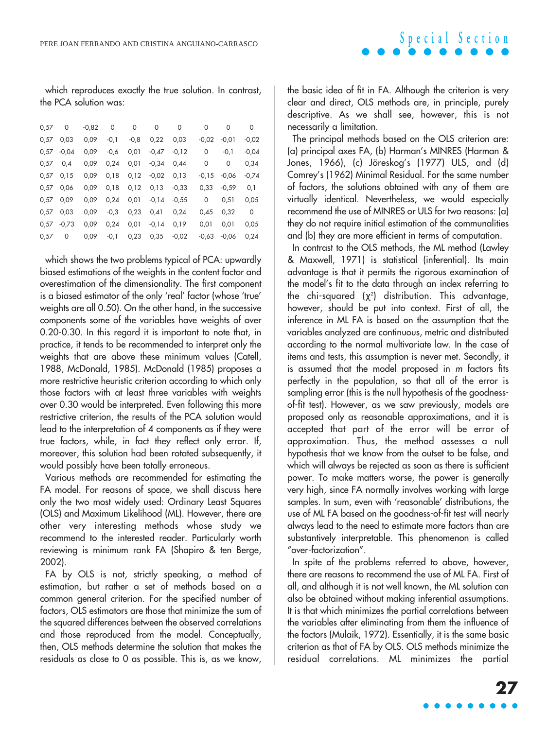which reproduces exactly the true solution. In contrast, the PCA solution was:

| 0,57 | 0       | $-0.82$ | 0      | 0      | $\Omega$ | $\Omega$ | 0       | 0       | 0       |
|------|---------|---------|--------|--------|----------|----------|---------|---------|---------|
| 0,57 | 0.03    | 0,09    | $-0,1$ | $-0.8$ | 0.22     | 0.03     | $-0.02$ | $-0.01$ | $-0.02$ |
| 0.57 | $-0.04$ | 0,09    | $-0,6$ | 0.01   | $-0.47$  | $-0.12$  | 0       | $-0,1$  | $-0.04$ |
| 0.57 | 0.4     | 0,09    | 0.24   | 0,01   | $-0.34$  | 0.44     | 0       | 0       | 0.34    |
| 0.57 | 0,15    | 0.09    | 0,18   | 0,12   | $-0.02$  | 0.13     | $-0.15$ | $-0.06$ | $-0.74$ |
| 0.57 | 0.06    | 0,09    | 0,18   | 0,12   | 0.13     | $-0.33$  | 0.33    | $-0.59$ | 0,1     |
| 0.57 | 0.09    | 0,09    | 0,24   | 0.01   | $-0.14$  | $-0.55$  | 0       | 0.51    | 0.05    |
| 0.57 | 0.03    | 0.09    | $-0,3$ | 0,23   | 0.41     | 0.24     | 0.45    | 0,32    | 0       |
| 0.57 | $-0.73$ | 0.09    | 0,24   | 0,01   | $-0,14$  | 0.19     | 0.01    | 0,01    | 0.05    |
| 0.57 | 0       | 0.09    | $-0,1$ | 0.23   | 0.35     | $-0.02$  | $-0.63$ | $-0.06$ | 0.24    |

which shows the two problems typical of PCA: upwardly biased estimations of the weights in the content factor and overestimation of the dimensionality. The first component is a biased estimator of the only 'real' factor (whose 'true' weights are all 0.50). On the other hand, in the successive components some of the variables have weights of over 0.20-0.30. In this regard it is important to note that, in practice, it tends to be recommended to interpret only the weights that are above these minimum values (Catell, 1988, McDonald, 1985). McDonald (1985) proposes a more restrictive heuristic criterion according to which only those factors with at least three variables with weights over 0.30 would be interpreted. Even following this more restrictive criterion, the results of the PCA solution would lead to the interpretation of 4 components as if they were true factors, while, in fact they reflect only error. If, moreover, this solution had been rotated subsequently, it would possibly have been totally erroneous.

Various methods are recommended for estimating the FA model. For reasons of space, we shall discuss here only the two most widely used: Ordinary Least Squares (OLS) and Maximum Likelihood (ML). However, there are other very interesting methods whose study we recommend to the interested reader. Particularly worth reviewing is minimum rank FA (Shapiro & ten Berge, 2002).

FA by OLS is not, strictly speaking, a method of estimation, but rather a set of methods based on a common general criterion. For the specified number of factors, OLS estimators are those that minimize the sum of the squared differences between the observed correlations and those reproduced from the model. Conceptually, then, OLS methods determine the solution that makes the residuals as close to 0 as possible. This is, as we know,

the basic idea of fit in FA. Although the criterion is very clear and direct, OLS methods are, in principle, purely descriptive. As we shall see, however, this is not necessarily a limitation.

The principal methods based on the OLS criterion are: (a) principal axes FA, (b) Harman's MINRES (Harman & Jones, 1966), (c) Jöreskog's (1977) ULS, and (d) Comrey's (1962) Minimal Residual. For the same number of factors, the solutions obtained with any of them are virtually identical. Nevertheless, we would especially recommend the use of MINRES or ULS for two reasons: (a) they do not require initial estimation of the communalities and (b) they are more efficient in terms of computation.

In contrast to the OLS methods, the ML method (Lawley & Maxwell, 1971) is statistical (inferential). Its main advantage is that it permits the rigorous examination of the model's fit to the data through an index referring to the chi-squared ( $\chi^2$ ) distribution. This advantage, however, should be put into context. First of all, the inference in ML FA is based on the assumption that the variables analyzed are continuous, metric and distributed according to the normal multivariate law. In the case of items and tests, this assumption is never met. Secondly, it is assumed that the model proposed in <sup>m</sup> factors fits perfectly in the population, so that all of the error is sampling error (this is the null hypothesis of the goodnessof-fit test). However, as we saw previously, models are proposed only as reasonable approximations, and it is accepted that part of the error will be error of approximation. Thus, the method assesses a null hypothesis that we know from the outset to be false, and which will always be rejected as soon as there is sufficient power. To make matters worse, the power is generally very high, since FA normally involves working with large samples. In sum, even with 'reasonable' distributions, the use of ML FA based on the goodness-of-fit test will nearly always lead to the need to estimate more factors than are substantively interpretable. This phenomenon is called "over-factorization".

In spite of the problems referred to above, however, there are reasons to recommend the use of ML FA. First of all, and although it is not well known, the ML solution can also be obtained without making inferential assumptions. It is that which minimizes the partial correlations between the variables after eliminating from them the influence of the factors (Mulaik, 1972). Essentially, it is the same basic criterion as that of FA by OLS. OLS methods minimize the residual correlations. ML minimizes the partial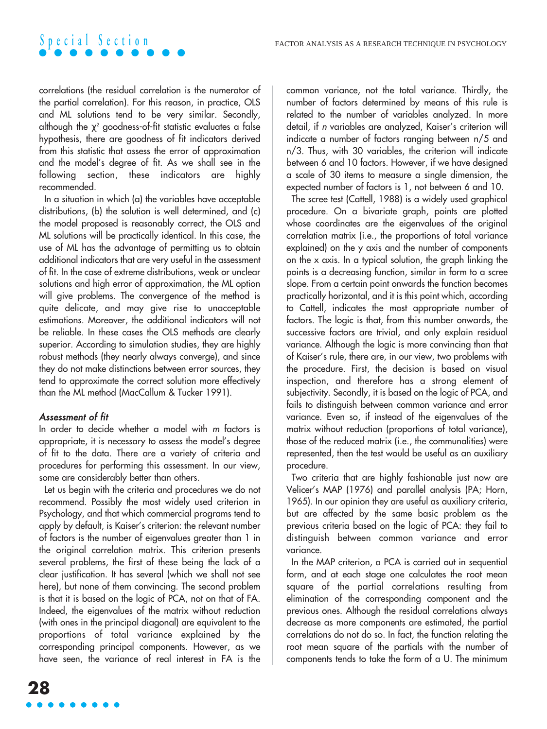correlations (the residual correlation is the numerator of the partial correlation). For this reason, in practice, OLS and ML solutions tend to be very similar. Secondly, although the  $\chi^2$  goodness-of-fit statistic evaluates a false hypothesis, there are goodness of fit indicators derived from this statistic that assess the error of approximation and the model's degree of fit. As we shall see in the following section, these indicators are highly recommended.

In a situation in which (a) the variables have acceptable distributions, (b) the solution is well determined, and (c) the model proposed is reasonably correct, the OLS and ML solutions will be practically identical. In this case, the use of ML has the advantage of permitting us to obtain additional indicators that are very useful in the assessment of fit. In the case of extreme distributions, weak or unclear solutions and high error of approximation, the ML option will give problems. The convergence of the method is quite delicate, and may give rise to unacceptable estimations. Moreover, the additional indicators will not be reliable. In these cases the OLS methods are clearly superior. According to simulation studies, they are highly robust methods (they nearly always converge), and since they do not make distinctions between error sources, they tend to approximate the correct solution more effectively than the ML method (MacCallum & Tucker 1991).

## Assessment of fit

In order to decide whether a model with m factors is appropriate, it is necessary to assess the model's degree of fit to the data. There are a variety of criteria and procedures for performing this assessment. In our view, some are considerably better than others.

Let us begin with the criteria and procedures we do not recommend. Possibly the most widely used criterion in Psychology, and that which commercial programs tend to apply by default, is Kaiser's criterion: the relevant number of factors is the number of eigenvalues greater than 1 in the original correlation matrix. This criterion presents several problems, the first of these being the lack of a clear justification. It has several (which we shall not see here), but none of them convincing. The second problem is that it is based on the logic of PCA, not on that of FA. Indeed, the eigenvalues of the matrix without reduction (with ones in the principal diagonal) are equivalent to the proportions of total variance explained by the corresponding principal components. However, as we have seen, the variance of real interest in FA is the common variance, not the total variance. Thirdly, the number of factors determined by means of this rule is related to the number of variables analyzed. In more detail, if <sup>n</sup> variables are analyzed, Kaiser's criterion will indicate a number of factors ranging between n/5 and n/3. Thus, with 30 variables, the criterion will indicate between 6 and 10 factors. However, if we have designed a scale of 30 items to measure a single dimension, the expected number of factors is 1, not between 6 and 10.

The scree test (Cattell, 1988) is a widely used graphical procedure. On a bivariate graph, points are plotted whose coordinates are the eigenvalues of the original correlation matrix (i.e., the proportions of total variance explained) on the y axis and the number of components on the x axis. In a typical solution, the graph linking the points is a decreasing function, similar in form to a scree slope. From a certain point onwards the function becomes practically horizontal, and it is this point which, according to Cattell, indicates the most appropriate number of factors. The logic is that, from this number onwards, the successive factors are trivial, and only explain residual variance. Although the logic is more convincing than that of Kaiser's rule, there are, in our view, two problems with the procedure. First, the decision is based on visual inspection, and therefore has a strong element of subjectivity. Secondly, it is based on the logic of PCA, and fails to distinguish between common variance and error variance. Even so, if instead of the eigenvalues of the matrix without reduction (proportions of total variance), those of the reduced matrix (i.e., the communalities) were represented, then the test would be useful as an auxiliary procedure.

Two criteria that are highly fashionable just now are Velicer's MAP (1976) and parallel analysis (PA; Horn, 1965). In our opinion they are useful as auxiliary criteria, but are affected by the same basic problem as the previous criteria based on the logic of PCA: they fail to distinguish between common variance and error variance.

In the MAP criterion, a PCA is carried out in sequential form, and at each stage one calculates the root mean square of the partial correlations resulting from elimination of the corresponding component and the previous ones. Although the residual correlations always decrease as more components are estimated, the partial correlations do not do so. In fact, the function relating the root mean square of the partials with the number of components tends to take the form of a U. The minimum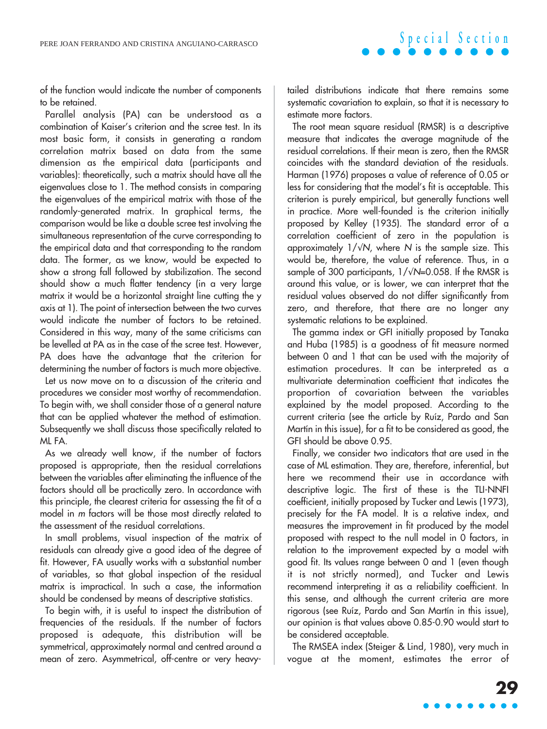of the function would indicate the number of components to be retained.

Parallel analysis (PA) can be understood as a combination of Kaiser's criterion and the scree test. In its most basic form, it consists in generating a random correlation matrix based on data from the same dimension as the empirical data (participants and variables): theoretically, such a matrix should have all the eigenvalues close to 1. The method consists in comparing the eigenvalues of the empirical matrix with those of the randomly-generated matrix. In graphical terms, the comparison would be like a double scree test involving the simultaneous representation of the curve corresponding to the empirical data and that corresponding to the random data. The former, as we know, would be expected to show a strong fall followed by stabilization. The second should show a much flatter tendency (in a very large matrix it would be a horizontal straight line cutting the y axis at 1). The point of intersection between the two curves would indicate the number of factors to be retained. Considered in this way, many of the same criticisms can be levelled at PA as in the case of the scree test. However, PA does have the advantage that the criterion for determining the number of factors is much more objective.

Let us now move on to a discussion of the criteria and procedures we consider most worthy of recommendation. To begin with, we shall consider those of a general nature that can be applied whatever the method of estimation. Subsequently we shall discuss those specifically related to ML FA.

As we already well know, if the number of factors proposed is appropriate, then the residual correlations between the variables after eliminating the influence of the factors should all be practically zero. In accordance with this principle, the clearest criteria for assessing the fit of a model in <sup>m</sup> factors will be those most directly related to the assessment of the residual correlations.

In small problems, visual inspection of the matrix of residuals can already give a good idea of the degree of fit. However, FA usually works with a substantial number of variables, so that global inspection of the residual matrix is impractical. In such a case, the information should be condensed by means of descriptive statistics.

To begin with, it is useful to inspect the distribution of frequencies of the residuals. If the number of factors proposed is adequate, this distribution will be symmetrical, approximately normal and centred around a mean of zero. Asymmetrical, off-centre or very heavytailed distributions indicate that there remains some systematic covariation to explain, so that it is necessary to estimate more factors.

The root mean square residual (RMSR) is a descriptive measure that indicates the average magnitude of the residual correlations. If their mean is zero, then the RMSR coincides with the standard deviation of the residuals. Harman (1976) proposes a value of reference of 0.05 or less for considering that the model's fit is acceptable. This criterion is purely empirical, but generally functions well in practice. More well-founded is the criterion initially proposed by Kelley (1935). The standard error of a correlation coefficient of zero in the population is approximately  $1/\sqrt{N}$ , where N is the sample size. This would be, therefore, the value of reference. Thus, in a sample of 300 participants,  $1/\sqrt{N}=0.058$ . If the RMSR is around this value, or is lower, we can interpret that the residual values observed do not differ significantly from zero, and therefore, that there are no longer any systematic relations to be explained.

The gamma index or GFI initially proposed by Tanaka and Huba (1985) is a goodness of fit measure normed between 0 and 1 that can be used with the majority of estimation procedures. It can be interpreted as a multivariate determination coefficient that indicates the proportion of covariation between the variables explained by the model proposed. According to the current criteria (see the article by Ruíz, Pardo and San Martín in this issue), for a fit to be considered as good, the GFI should be above 0.95.

Finally, we consider two indicators that are used in the case of ML estimation. They are, therefore, inferential, but here we recommend their use in accordance with descriptive logic. The first of these is the TLI-NNFI coefficient, initially proposed by Tucker and Lewis (1973), precisely for the FA model. It is a relative index, and measures the improvement in fit produced by the model proposed with respect to the null model in 0 factors, in relation to the improvement expected by a model with good fit. Its values range between 0 and 1 (even though it is not strictly normed), and Tucker and Lewis recommend interpreting it as a reliability coefficient. In this sense, and although the current criteria are more rigorous (see Ruíz, Pardo and San Martín in this issue), our opinion is that values above 0.85-0.90 would start to be considered acceptable.

The RMSEA index (Steiger & Lind, 1980), very much in vogue at the moment, estimates the error of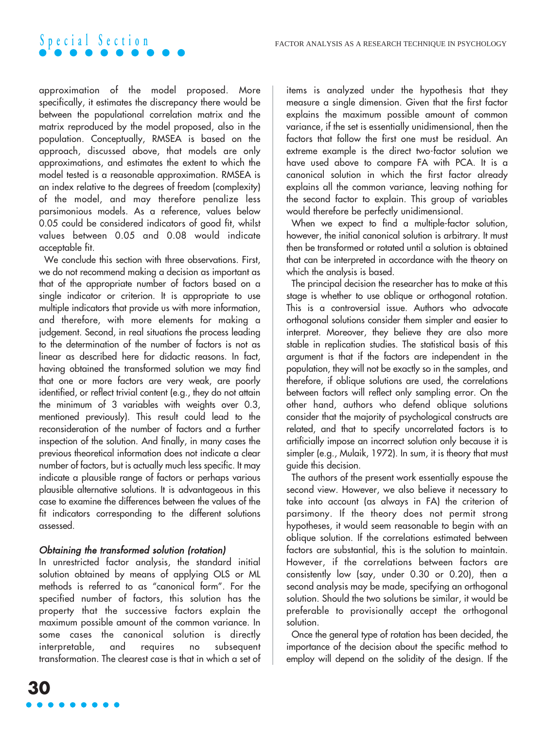

approximation of the model proposed. More specifically, it estimates the discrepancy there would be between the populational correlation matrix and the matrix reproduced by the model proposed, also in the population. Conceptually, RMSEA is based on the approach, discussed above, that models are only approximations, and estimates the extent to which the model tested is a reasonable approximation. RMSEA is an index relative to the degrees of freedom (complexity) of the model, and may therefore penalize less parsimonious models. As a reference, values below 0.05 could be considered indicators of good fit, whilst values between 0.05 and 0.08 would indicate acceptable fit.

We conclude this section with three observations. First, we do not recommend making a decision as important as that of the appropriate number of factors based on a single indicator or criterion. It is appropriate to use multiple indicators that provide us with more information, and therefore, with more elements for making a judgement. Second, in real situations the process leading to the determination of the number of factors is not as linear as described here for didactic reasons. In fact, having obtained the transformed solution we may find that one or more factors are very weak, are poorly identified, or reflect trivial content (e.g., they do not attain the minimum of 3 variables with weights over 0.3, mentioned previously). This result could lead to the reconsideration of the number of factors and a further inspection of the solution. And finally, in many cases the previous theoretical information does not indicate a clear number of factors, but is actually much less specific. It may indicate a plausible range of factors or perhaps various plausible alternative solutions. It is advantageous in this case to examine the differences between the values of the fit indicators corresponding to the different solutions assessed.

## Obtaining the transformed solution (rotation)

In unrestricted factor analysis, the standard initial solution obtained by means of applying OLS or ML methods is referred to as "canonical form". For the specified number of factors, this solution has the property that the successive factors explain the maximum possible amount of the common variance. In some cases the canonical solution is directly interpretable, and requires no subsequent transformation. The clearest case is that in which a set of items is analyzed under the hypothesis that they measure a single dimension. Given that the first factor explains the maximum possible amount of common variance, if the set is essentially unidimensional, then the factors that follow the first one must be residual. An extreme example is the direct two-factor solution we have used above to compare FA with PCA. It is a canonical solution in which the first factor already explains all the common variance, leaving nothing for the second factor to explain. This group of variables would therefore be perfectly unidimensional.

When we expect to find a multiple-factor solution, however, the initial canonical solution is arbitrary. It must then be transformed or rotated until a solution is obtained that can be interpreted in accordance with the theory on which the analysis is based.

The principal decision the researcher has to make at this stage is whether to use oblique or orthogonal rotation. This is a controversial issue. Authors who advocate orthogonal solutions consider them simpler and easier to interpret. Moreover, they believe they are also more stable in replication studies. The statistical basis of this argument is that if the factors are independent in the population, they will not be exactly so in the samples, and therefore, if oblique solutions are used, the correlations between factors will reflect only sampling error. On the other hand, authors who defend oblique solutions consider that the majority of psychological constructs are related, and that to specify uncorrelated factors is to artificially impose an incorrect solution only because it is simpler (e.g., Mulaik, 1972). In sum, it is theory that must guide this decision.

The authors of the present work essentially espouse the second view. However, we also believe it necessary to take into account (as always in FA) the criterion of parsimony. If the theory does not permit strong hypotheses, it would seem reasonable to begin with an oblique solution. If the correlations estimated between factors are substantial, this is the solution to maintain. However, if the correlations between factors are consistently low (say, under 0.30 or 0.20), then a second analysis may be made, specifying an orthogonal solution. Should the two solutions be similar, it would be preferable to provisionally accept the orthogonal solution.

Once the general type of rotation has been decided, the importance of the decision about the specific method to employ will depend on the solidity of the design. If the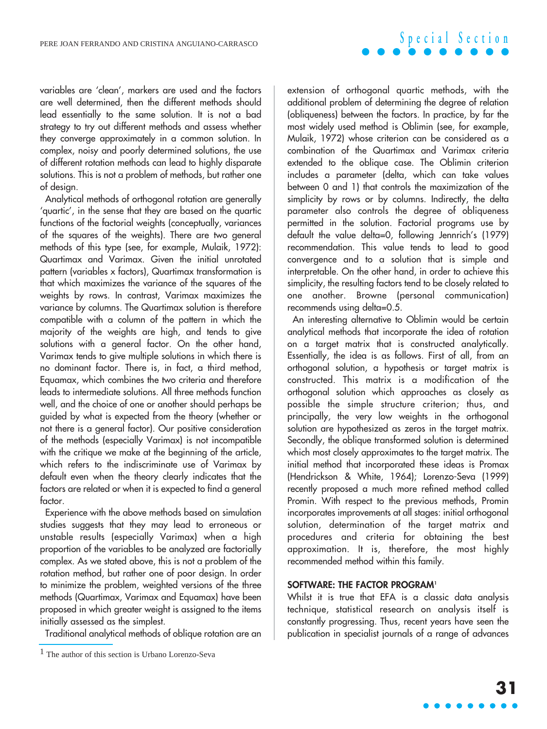variables are 'clean', markers are used and the factors are well determined, then the different methods should lead essentially to the same solution. It is not a bad strategy to try out different methods and assess whether they converge approximately in a common solution. In complex, noisy and poorly determined solutions, the use of different rotation methods can lead to highly disparate solutions. This is not a problem of methods, but rather one of design.

Analytical methods of orthogonal rotation are generally 'quartic', in the sense that they are based on the quartic functions of the factorial weights (conceptually, variances of the squares of the weights). There are two general methods of this type (see, for example, Mulaik, 1972): Quartimax and Varimax. Given the initial unrotated pattern (variables x factors), Quartimax transformation is that which maximizes the variance of the squares of the weights by rows. In contrast, Varimax maximizes the variance by columns. The Quartimax solution is therefore compatible with a column of the pattern in which the majority of the weights are high, and tends to give solutions with a general factor. On the other hand, Varimax tends to give multiple solutions in which there is no dominant factor. There is, in fact, a third method, Equamax, which combines the two criteria and therefore leads to intermediate solutions. All three methods function well, and the choice of one or another should perhaps be guided by what is expected from the theory (whether or not there is a general factor). Our positive consideration of the methods (especially Varimax) is not incompatible with the critique we make at the beginning of the article, which refers to the indiscriminate use of Varimax by default even when the theory clearly indicates that the factors are related or when it is expected to find a general factor.

Experience with the above methods based on simulation studies suggests that they may lead to erroneous or unstable results (especially Varimax) when a high proportion of the variables to be analyzed are factorially complex. As we stated above, this is not a problem of the rotation method, but rather one of poor design. In order to minimize the problem, weighted versions of the three methods (Quartimax, Varimax and Equamax) have been proposed in which greater weight is assigned to the items initially assessed as the simplest.

Traditional analytical methods of oblique rotation are an

extension of orthogonal quartic methods, with the additional problem of determining the degree of relation (obliqueness) between the factors. In practice, by far the most widely used method is Oblimin (see, for example, Mulaik, 1972) whose criterion can be considered as a combination of the Quartimax and Varimax criteria extended to the oblique case. The Oblimin criterion includes a parameter (delta, which can take values between 0 and 1) that controls the maximization of the simplicity by rows or by columns. Indirectly, the delta parameter also controls the degree of obliqueness permitted in the solution. Factorial programs use by default the value delta=0, following Jennrich's (1979) recommendation. This value tends to lead to good convergence and to a solution that is simple and interpretable. On the other hand, in order to achieve this simplicity, the resulting factors tend to be closely related to one another. Browne (personal communication) recommends using delta=0.5.

An interesting alternative to Oblimin would be certain analytical methods that incorporate the idea of rotation on a target matrix that is constructed analytically. Essentially, the idea is as follows. First of all, from an orthogonal solution, a hypothesis or target matrix is constructed. This matrix is a modification of the orthogonal solution which approaches as closely as possible the simple structure criterion; thus, and principally, the very low weights in the orthogonal solution are hypothesized as zeros in the target matrix. Secondly, the oblique transformed solution is determined which most closely approximates to the target matrix. The initial method that incorporated these ideas is Promax (Hendrickson & White, 1964); Lorenzo-Seva (1999) recently proposed a much more refined method called Promin. With respect to the previous methods, Promin incorporates improvements at all stages: initial orthogonal solution, determination of the target matrix and procedures and criteria for obtaining the best approximation. It is, therefore, the most highly recommended method within this family.

## **SOFTWARE: THE FACTOR PROGRAM1**

Whilst it is true that EFA is a classic data analysis technique, statistical research on analysis itself is constantly progressing. Thus, recent years have seen the publication in specialist journals of a range of advances

 $<sup>1</sup>$  The author of this section is Urbano Lorenzo-Seva</sup>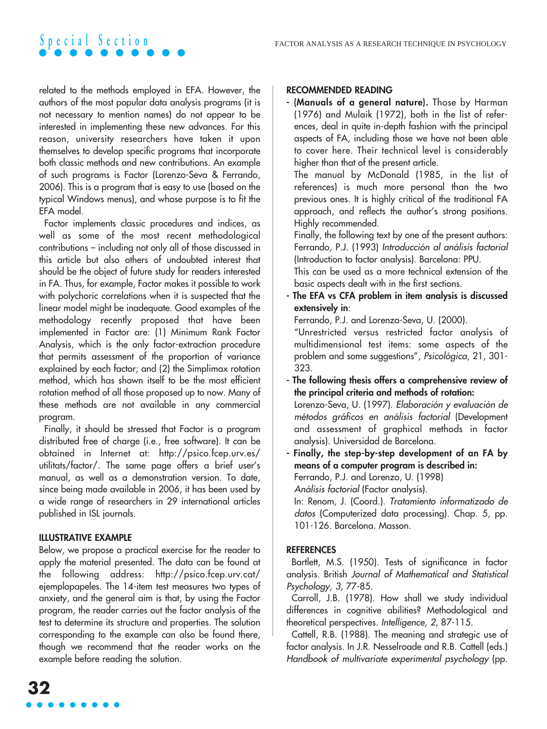related to the methods employed in EFA. However, the authors of the most popular data analysis programs (it is not necessary to mention names) do not appear to be interested in implementing these new advances. For this reason, university researchers have taken it upon themselves to develop specific programs that incorporate both classic methods and new contributions. An example of such programs is Factor (Lorenzo-Seva & Ferrando, 2006). This is a program that is easy to use (based on the typical Windows menus), and whose purpose is to fit the EFA model.

Factor implements classic procedures and indices, as well as some of the most recent methodological contributions – including not only all of those discussed in this article but also others of undoubted interest that should be the object of future study for readers interested in FA. Thus, for example, Factor makes it possible to work with polychoric correlations when it is suspected that the linear model might be inadequate. Good examples of the methodology recently proposed that have been implemented in Factor are: (1) Minimum Rank Factor Analysis, which is the only factor-extraction procedure that permits assessment of the proportion of variance explained by each factor; and (2) the Simplimax rotation method, which has shown itself to be the most efficient rotation method of all those proposed up to now. Many of these methods are not available in any commercial program.

Finally, it should be stressed that Factor is a program distributed free of charge (i.e., free software). It can be obtained in Internet at: http://psico.fcep.urv.es/ utilitats/factor/. The same page offers a brief user's manual, as well as a demonstration version. To date, since being made available in 2006, it has been used by a wide range of researchers in 29 international articles published in ISL journals.

## **ILLUSTRATIVE EXAMPLE**

Below, we propose a practical exercise for the reader to apply the material presented. The data can be found at the following address: http://psico.fcep.urv.cat/ ejemplopapeles. The 14-item test measures two types of anxiety, and the general aim is that, by using the Factor program, the reader carries out the factor analysis of the test to determine its structure and properties. The solution corresponding to the example can also be found there, though we recommend that the reader works on the example before reading the solution.

**- (Manuals of a general nature).** Those by Harman (1976) and Mulaik (1972), both in the list of references, deal in quite in-depth fashion with the principal aspects of FA, including those we have not been able to cover here. Their technical level is considerably higher than that of the present article.

The manual by McDonald (1985, in the list of references) is much more personal than the two previous ones. It is highly critical of the traditional FA approach, and reflects the author's strong positions. Highly recommended.

Finally, the following text by one of the present authors: Ferrando, P.J. (1993) Introducción al análisis factorial (Introduction to factor analysis). Barcelona: PPU.

This can be used as a more technical extension of the basic aspects dealt with in the first sections.

**- The EFA vs CFA problem in item analysis is discussed extensively in**:

Ferrando, P.J. and Lorenzo-Seva, U. (2000).

"Unrestricted versus restricted factor analysis of multidimensional test items: some aspects of the problem and some suggestions", Psicológica, 21, 301- 323.

**- The following thesis offers a comprehensive review of the principal criteria and methods of rotation:** Lorenzo-Seva, U. (1997). Elaboración y evaluación de métodos gráficos en análisis factorial (Development

and assessment of graphical methods in factor analysis). Universidad de Barcelona.

**- Finally, the step-by-step development of an FA by means of a computer program is described in:** Ferrando, P.J. and Lorenzo, U. (1998) Análisis factorial (Factor analysis).

In: Renom, J. (Coord.). Tratamiento informatizado de datos (Computerized data processing). Chap. 5, pp. 101-126. Barcelona. Masson.

## **REFERENCES**

Bartlett, M.S. (1950). Tests of significance in factor analysis. British Journal of Mathematical and Statistical Psychology, 3, 77-85.

Carroll, J.B. (1978). How shall we study individual differences in cognitive abilities? Methodological and theoretical perspectives. Intelligence, <sup>2</sup>, 87-115.

Cattell, R.B. (1988). The meaning and strategic use of factor analysis. In J.R. Nesselroade and R.B. Cattell (eds.) Handbook of multivariate experimental psychology (pp.